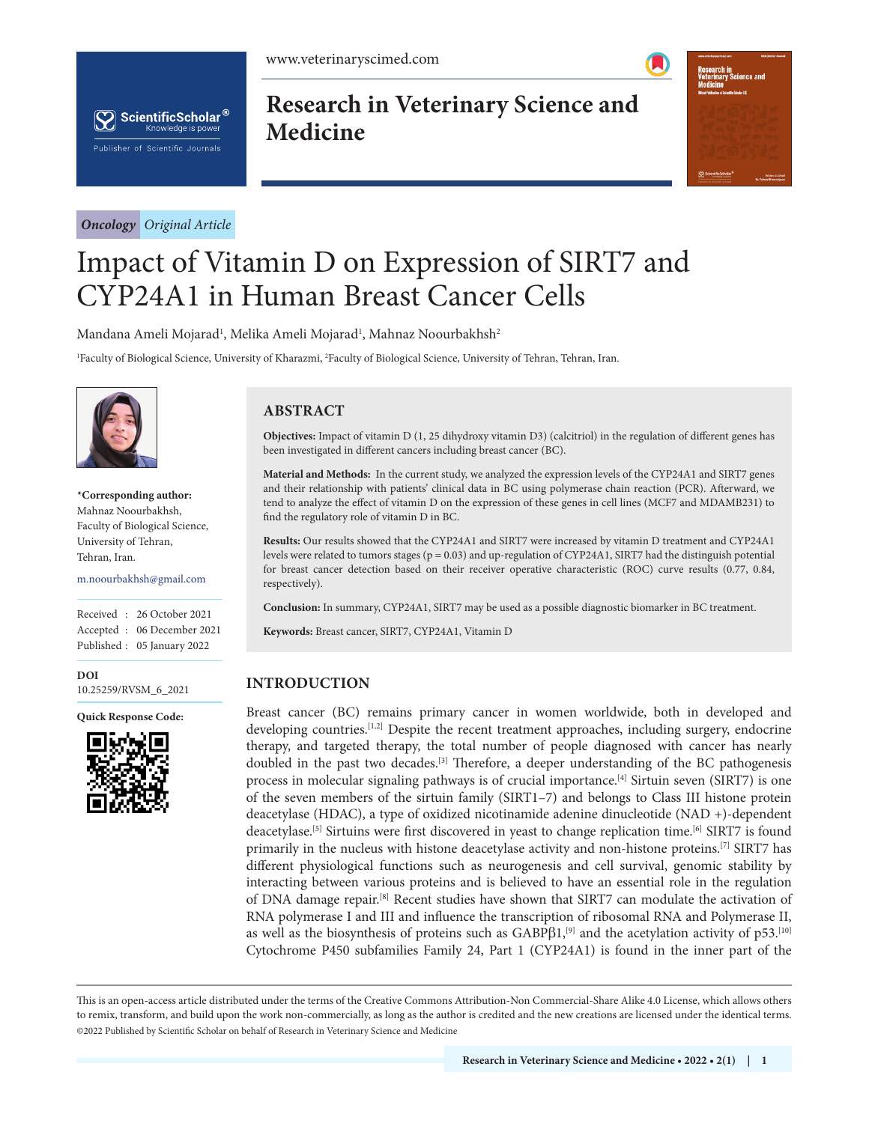



*Oncology Original Article*

**Research in Veterinary Science and Medicine**



# Impact of Vitamin D on Expression of SIRT7 and CYP24A1 in Human Breast Cancer Cells

Mandana Ameli Mojarad<sup>1</sup>, Melika Ameli Mojarad<sup>1</sup>, Mahnaz Noourbakhsh<sup>2</sup>

1 Faculty of Biological Science, University of Kharazmi, 2 Faculty of Biological Science, University of Tehran, Tehran, Iran.



**\*Corresponding author:** Mahnaz Noourbakhsh, Faculty of Biological Science, University of Tehran, Tehran, Iran.

m.noourbakhsh@gmail.com

Received : 26 October 2021 Accepted : 06 December 2021 Published : 05 January 2022

**DOI** [10.25259/RVSM\\_6\\_2021](https://dx.doi.org/10.25259/RVSM_6_2021)

**Quick Response Code:**



## **ABSTRACT**

**Objectives:** Impact of vitamin D (1, 25 dihydroxy vitamin D3) (calcitriol) in the regulation of different genes has been investigated in different cancers including breast cancer (BC).

**Material and Methods:** In the current study, we analyzed the expression levels of the CYP24A1 and SIRT7 genes and their relationship with patients' clinical data in BC using polymerase chain reaction (PCR). Afterward, we tend to analyze the effect of vitamin D on the expression of these genes in cell lines (MCF7 and MDAMB231) to find the regulatory role of vitamin D in BC.

**Results:** Our results showed that the CYP24A1 and SIRT7 were increased by vitamin D treatment and CYP24A1 levels were related to tumors stages ( $p = 0.03$ ) and up-regulation of CYP24A1, SIRT7 had the distinguish potential for breast cancer detection based on their receiver operative characteristic (ROC) curve results (0.77, 0.84, respectively).

**Conclusion:** In summary, CYP24A1, SIRT7 may be used as a possible diagnostic biomarker in BC treatment.

**Keywords:** Breast cancer, SIRT7, CYP24A1, Vitamin D

## **INTRODUCTION**

Breast cancer (BC) remains primary cancer in women worldwide, both in developed and developing countries.<sup>[1,2]</sup> Despite the recent treatment approaches, including surgery, endocrine therapy, and targeted therapy, the total number of people diagnosed with cancer has nearly doubled in the past two decades.[3] Therefore, a deeper understanding of the BC pathogenesis process in molecular signaling pathways is of crucial importance.<sup>[4]</sup> Sirtuin seven (SIRT7) is one of the seven members of the sirtuin family (SIRT1–7) and belongs to Class III histone protein deacetylase (HDAC), a type of oxidized nicotinamide adenine dinucleotide (NAD +)-dependent deacetylase.[5] Sirtuins were first discovered in yeast to change replication time.[6] SIRT7 is found primarily in the nucleus with histone deacetylase activity and non-histone proteins.[7] SIRT7 has different physiological functions such as neurogenesis and cell survival, genomic stability by interacting between various proteins and is believed to have an essential role in the regulation of DNA damage repair.[8] Recent studies have shown that SIRT7 can modulate the activation of RNA polymerase I and III and influence the transcription of ribosomal RNA and Polymerase II, as well as the biosynthesis of proteins such as  $GABP\beta1$ ,<sup>[9]</sup> and the acetylation activity of p53.<sup>[10]</sup> Cytochrome P450 subfamilies Family 24, Part 1 (CYP24A1) is found in the inner part of the

is is an open-access article distributed under the terms of the Creative Commons Attribution-Non Commercial-Share Alike 4.0 License, which allows others to remix, transform, and build upon the work non-commercially, as long as the author is credited and the new creations are licensed under the identical terms. ©2022 Published by Scientific Scholar on behalf of Research in Veterinary Science and Medicine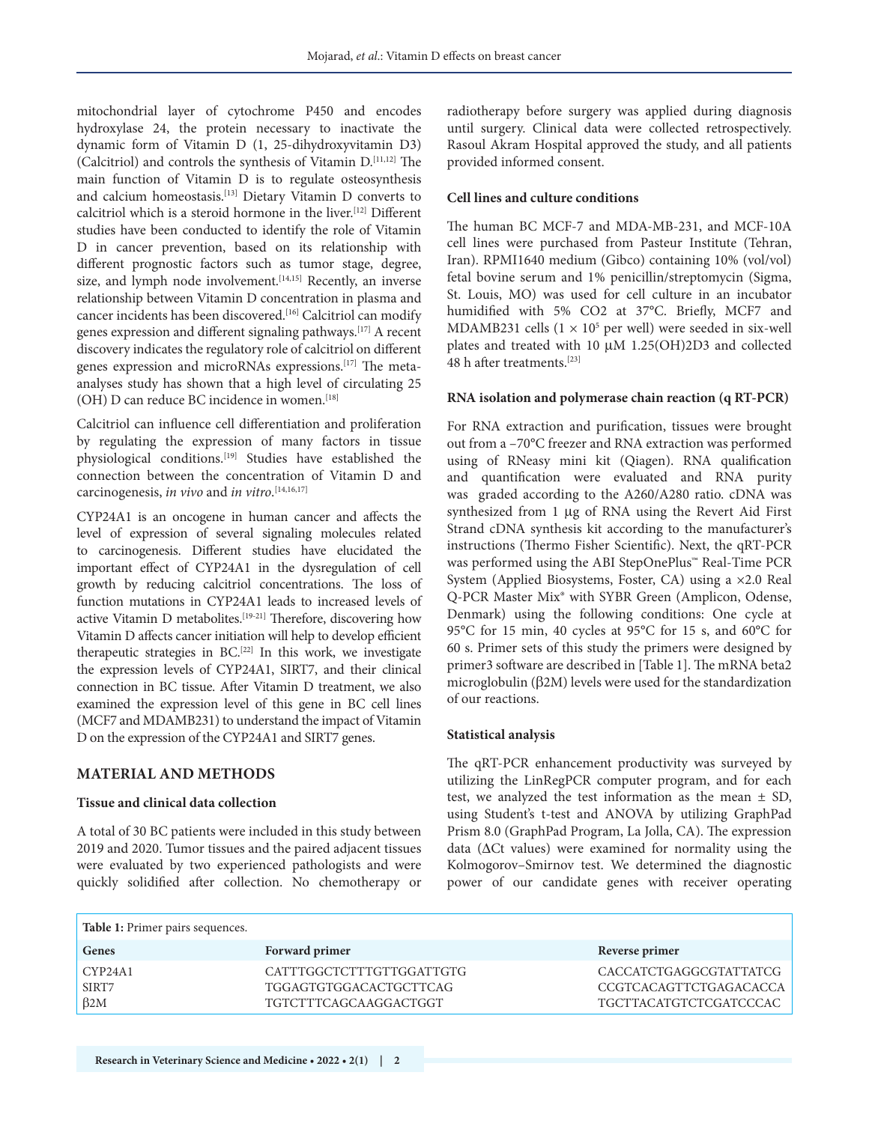mitochondrial layer of cytochrome P450 and encodes hydroxylase 24, the protein necessary to inactivate the dynamic form of Vitamin D (1, 25-dihydroxyvitamin D3) (Calcitriol) and controls the synthesis of Vitamin D.[11,12] The main function of Vitamin D is to regulate osteosynthesis and calcium homeostasis.[13] Dietary Vitamin D converts to calcitriol which is a steroid hormone in the liver.[12] Different studies have been conducted to identify the role of Vitamin D in cancer prevention, based on its relationship with different prognostic factors such as tumor stage, degree, size, and lymph node involvement.<sup>[14,15]</sup> Recently, an inverse relationship between Vitamin D concentration in plasma and cancer incidents has been discovered.<sup>[16]</sup> Calcitriol can modify genes expression and different signaling pathways.[17] A recent discovery indicates the regulatory role of calcitriol on different genes expression and microRNAs expressions.[17] The metaanalyses study has shown that a high level of circulating 25 (OH) D can reduce BC incidence in women.<sup>[18]</sup>

Calcitriol can influence cell differentiation and proliferation by regulating the expression of many factors in tissue physiological conditions.[19] Studies have established the connection between the concentration of Vitamin D and carcinogenesis, *in vivo* and *in vitro*. [14,16,17]

CYP24A1 is an oncogene in human cancer and affects the level of expression of several signaling molecules related to carcinogenesis. Different studies have elucidated the important effect of CYP24A1 in the dysregulation of cell growth by reducing calcitriol concentrations. The loss of function mutations in CYP24A1 leads to increased levels of active Vitamin D metabolites.[19-21] Therefore, discovering how Vitamin D affects cancer initiation will help to develop efficient therapeutic strategies in BC.[22] In this work, we investigate the expression levels of CYP24A1, SIRT7, and their clinical connection in BC tissue. After Vitamin D treatment, we also examined the expression level of this gene in BC cell lines (MCF7 and MDAMB231) to understand the impact of Vitamin D on the expression of the CYP24A1 and SIRT7 genes.

## **MATERIAL AND METHODS**

## **Tissue and clinical data collection**

A total of 30 BC patients were included in this study between 2019 and 2020. Tumor tissues and the paired adjacent tissues were evaluated by two experienced pathologists and were quickly solidified after collection. No chemotherapy or radiotherapy before surgery was applied during diagnosis until surgery. Clinical data were collected retrospectively. Rasoul Akram Hospital approved the study, and all patients provided informed consent.

#### **Cell lines and culture conditions**

The human BC MCF-7 and MDA-MB-231, and MCF-10A cell lines were purchased from Pasteur Institute (Tehran, Iran). RPMI1640 medium (Gibco) containing 10% (vol/vol) fetal bovine serum and 1% penicillin/streptomycin (Sigma, St. Louis, MO) was used for cell culture in an incubator humidified with 5% CO2 at 37°C. Briefly, MCF7 and MDAMB231 cells  $(1 \times 10^5$  per well) were seeded in six-well plates and treated with 10 µM 1.25(OH)2D3 and collected 48 h after treatments.[23]

#### **RNA isolation and polymerase chain reaction (q RT-PCR)**

For RNA extraction and purification, tissues were brought out from a –70°C freezer and RNA extraction was performed using of RNeasy mini kit (Qiagen). RNA qualification and quantification were evaluated and RNA purity was graded according to the A260/A280 ratio. cDNA was synthesized from 1 µg of RNA using the Revert Aid First Strand cDNA synthesis kit according to the manufacturer's instructions (Thermo Fisher Scientific). Next, the qRT-PCR was performed using the ABI StepOnePlus™ Real-Time PCR System (Applied Biosystems, Foster, CA) using a ×2.0 Real Q-PCR Master Mix® with SYBR Green (Amplicon, Odense, Denmark) using the following conditions: One cycle at 95°C for 15 min, 40 cycles at 95°C for 15 s, and 60°C for 60 s. Primer sets of this study the primers were designed by primer3 software are described in [Table 1]. The mRNA beta2 microglobulin (β2M) levels were used for the standardization of our reactions.

#### **Statistical analysis**

The qRT-PCR enhancement productivity was surveyed by utilizing the LinRegPCR computer program, and for each test, we analyzed the test information as the mean  $\pm$  SD, using Student's t-test and ANOVA by utilizing GraphPad Prism 8.0 (GraphPad Program, La Jolla, CA). The expression data (ΔCt values) were examined for normality using the Kolmogorov–Smirnov test. We determined the diagnostic power of our candidate genes with receiver operating

**Table 1:** Primer pairs sequences. **Genes Forward primer** *Reverse primer* **Reverse primer** CYP24A1 CATTTGGCTCTTTGTTGGATTGTG CACCATCTGAGGCGTATTATCG SIRT7 TGGAGTGTGGACACTGCTTCAG CCGTCACAGTTCTGAGACACCA β2M TGTCTTTCAGCAAGGACTGGT TGCTTACATGTCTCGATCCCAC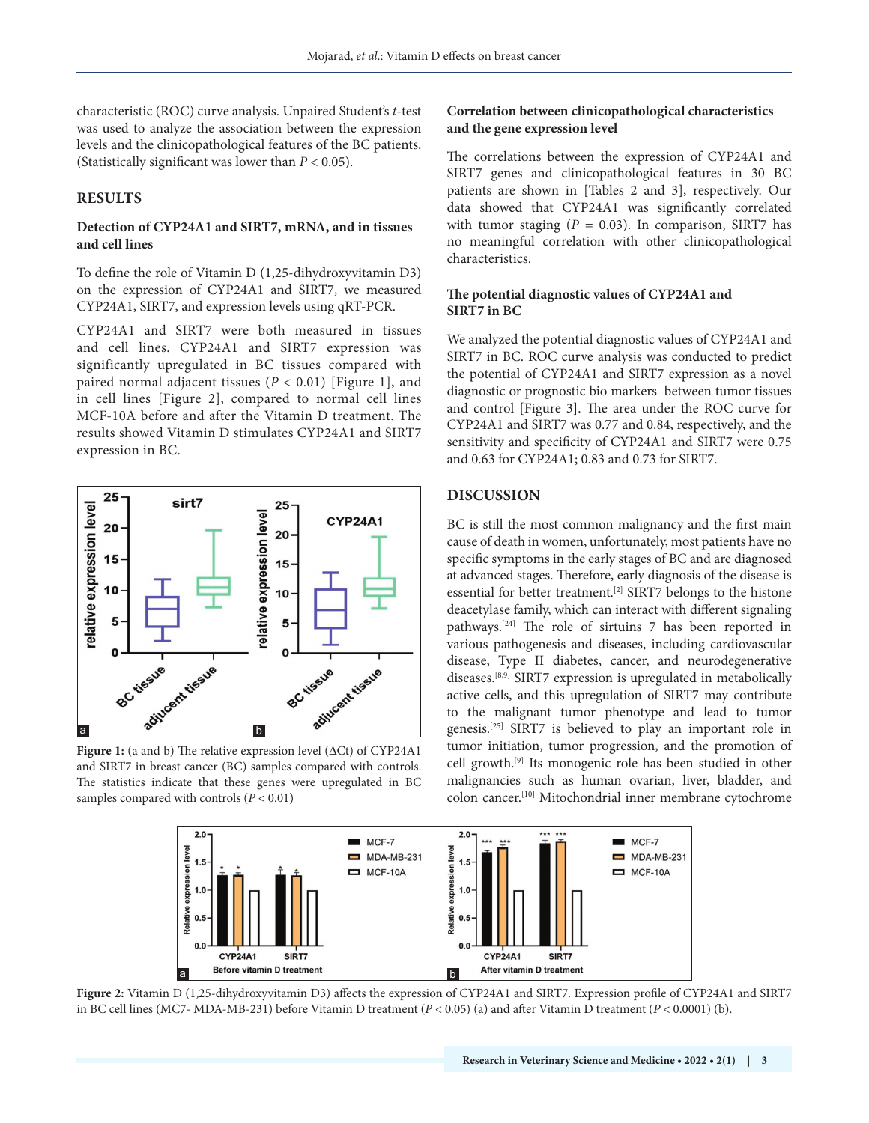characteristic (ROC) curve analysis. Unpaired Student's *t*-test was used to analyze the association between the expression levels and the clinicopathological features of the BC patients. (Statistically significant was lower than *P* < 0.05).

## **RESULTS**

#### **Detection of CYP24A1 and SIRT7, mRNA, and in tissues and cell lines**

To define the role of Vitamin D (1,25-dihydroxyvitamin D3) on the expression of CYP24A1 and SIRT7, we measured CYP24A1, SIRT7, and expression levels using qRT-PCR.

CYP24A1 and SIRT7 were both measured in tissues and cell lines. CYP24A1 and SIRT7 expression was significantly upregulated in BC tissues compared with paired normal adjacent tissues (*P* < 0.01) [Figure 1], and in cell lines [Figure 2], compared to normal cell lines MCF-10A before and after the Vitamin D treatment. The results showed Vitamin D stimulates CYP24A1 and SIRT7 expression in BC.



**Figure 1:** (a and b) The relative expression level (ΔCt) of CYP24A1 and SIRT7 in breast cancer (BC) samples compared with controls. The statistics indicate that these genes were upregulated in BC samples compared with controls  $(P < 0.01)$ 

#### **Correlation between clinicopathological characteristics and the gene expression level**

The correlations between the expression of CYP24A1 and SIRT7 genes and clinicopathological features in 30 BC patients are shown in [Tables 2 and 3], respectively. Our data showed that CYP24A1 was significantly correlated with tumor staging  $(P = 0.03)$ . In comparison, SIRT7 has no meaningful correlation with other clinicopathological characteristics.

### **The potential diagnostic values of CYP24A1 and SIRT7 in BC**

We analyzed the potential diagnostic values of CYP24A1 and SIRT7 in BC. ROC curve analysis was conducted to predict the potential of CYP24A1 and SIRT7 expression as a novel diagnostic or prognostic bio markers between tumor tissues and control [Figure 3]. The area under the ROC curve for CYP24A1 and SIRT7 was 0.77 and 0.84, respectively, and the sensitivity and specificity of CYP24A1 and SIRT7 were 0.75 and 0.63 for CYP24A1; 0.83 and 0.73 for SIRT7.

## **DISCUSSION**

BC is still the most common malignancy and the first main cause of death in women, unfortunately, most patients have no specific symptoms in the early stages of BC and are diagnosed at advanced stages. Therefore, early diagnosis of the disease is essential for better treatment.[2] SIRT7 belongs to the histone deacetylase family, which can interact with different signaling pathways.[24] The role of sirtuins 7 has been reported in various pathogenesis and diseases, including cardiovascular disease, Type II diabetes, cancer, and neurodegenerative diseases.[8,9] SIRT7 expression is upregulated in metabolically active cells, and this upregulation of SIRT7 may contribute to the malignant tumor phenotype and lead to tumor genesis.[25] SIRT7 is believed to play an important role in tumor initiation, tumor progression, and the promotion of cell growth.[9] Its monogenic role has been studied in other malignancies such as human ovarian, liver, bladder, and colon cancer.[10] Mitochondrial inner membrane cytochrome



**Figure 2:** Vitamin D (1,25-dihydroxyvitamin D3) affects the expression of CYP24A1 and SIRT7. Expression profile of CYP24A1 and SIRT7 in BC cell lines (MC7- MDA-MB-231) before Vitamin D treatment (*P* < 0.05) (a) and after Vitamin D treatment (*P* < 0.0001) (b**)**.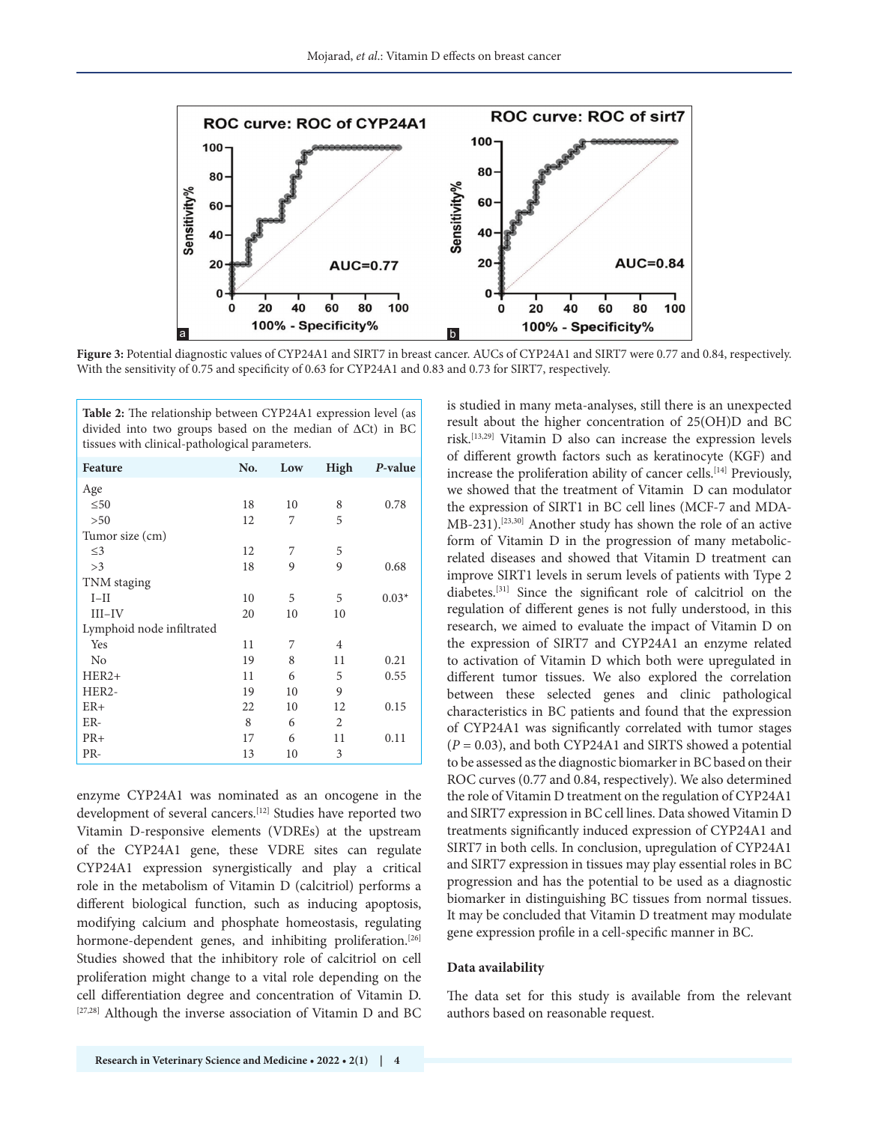

**Figure 3:** Potential diagnostic values of CYP24A1 and SIRT7 in breast cancer. AUCs of CYP24A1 and SIRT7 were 0.77 and 0.84, respectively. With the sensitivity of 0.75 and specificity of 0.63 for CYP24A1 and 0.83 and 0.73 for SIRT7, respectively.

| Table 2: The relationship between CYP24A1 expression level (as<br>divided into two groups based on the median of $\Delta$ Ct) in BC<br>tissues with clinical-pathological parameters. |     |     |      |         |  |  |
|---------------------------------------------------------------------------------------------------------------------------------------------------------------------------------------|-----|-----|------|---------|--|--|
| Feature                                                                                                                                                                               | No. | Low | High | P-value |  |  |
| Age                                                                                                                                                                                   |     |     |      |         |  |  |
| $\leq 50$                                                                                                                                                                             | 18  | 10  | 8    | 0.78    |  |  |
| > 50                                                                                                                                                                                  | 12  | 7   | 5    |         |  |  |
| Tumor size (cm)                                                                                                                                                                       |     |     |      |         |  |  |
| $\leq$ 3                                                                                                                                                                              | 12  | 7   | 5    |         |  |  |
| >3                                                                                                                                                                                    | 18  | 9   | 9    | 0.68    |  |  |
| TNM staging                                                                                                                                                                           |     |     |      |         |  |  |
| $I-II$                                                                                                                                                                                | 10  | 5   | 5    | $0.03*$ |  |  |
| $III$ -IV                                                                                                                                                                             | 20  | 10  | 10   |         |  |  |
| Lymphoid node infiltrated                                                                                                                                                             |     |     |      |         |  |  |
| Yes                                                                                                                                                                                   | 11  | 7   | 4    |         |  |  |
| N <sub>0</sub>                                                                                                                                                                        | 19  | 8   | 11   | 0.21    |  |  |
| HER2+                                                                                                                                                                                 | 11  | 6   | 5    | 0.55    |  |  |
| HER2-                                                                                                                                                                                 | 19  | 10  | 9    |         |  |  |
| $ER+$                                                                                                                                                                                 | 22  | 10  | 12   | 0.15    |  |  |
| ER-                                                                                                                                                                                   | 8   | 6   | 2    |         |  |  |
| $PR+$                                                                                                                                                                                 | 17  | 6   | 11   | 0.11    |  |  |
| PR-                                                                                                                                                                                   | 13  | 10  | 3    |         |  |  |

enzyme CYP24A1 was nominated as an oncogene in the development of several cancers.<sup>[12]</sup> Studies have reported two Vitamin D-responsive elements (VDREs) at the upstream of the CYP24A1 gene, these VDRE sites can regulate CYP24A1 expression synergistically and play a critical role in the metabolism of Vitamin D (calcitriol) performs a different biological function, such as inducing apoptosis, modifying calcium and phosphate homeostasis, regulating hormone-dependent genes, and inhibiting proliferation.<sup>[26]</sup> Studies showed that the inhibitory role of calcitriol on cell proliferation might change to a vital role depending on the cell differentiation degree and concentration of Vitamin D. [27,28] Although the inverse association of Vitamin D and BC is studied in many meta-analyses, still there is an unexpected result about the higher concentration of 25(OH)D and BC risk.[13,29] Vitamin D also can increase the expression levels of different growth factors such as keratinocyte (KGF) and increase the proliferation ability of cancer cells.<sup>[14]</sup> Previously, we showed that the treatment of Vitamin D can modulator the expression of SIRT1 in BC cell lines (MCF-7 and MDA-MB-231).[23,30] Another study has shown the role of an active form of Vitamin D in the progression of many metabolicrelated diseases and showed that Vitamin D treatment can improve SIRT1 levels in serum levels of patients with Type 2 diabetes.[31] Since the significant role of calcitriol on the regulation of different genes is not fully understood, in this research, we aimed to evaluate the impact of Vitamin D on the expression of SIRT7 and CYP24A1 an enzyme related to activation of Vitamin D which both were upregulated in different tumor tissues. We also explored the correlation between these selected genes and clinic pathological characteristics in BC patients and found that the expression of CYP24A1 was significantly correlated with tumor stages (*P* = 0.03), and both CYP24A1 and SIRTS showed a potential to be assessed as the diagnostic biomarker in BC based on their ROC curves (0.77 and 0.84, respectively). We also determined the role of Vitamin D treatment on the regulation of CYP24A1 and SIRT7 expression in BC cell lines. Data showed Vitamin D treatments significantly induced expression of CYP24A1 and SIRT7 in both cells. In conclusion, upregulation of CYP24A1 and SIRT7 expression in tissues may play essential roles in BC progression and has the potential to be used as a diagnostic biomarker in distinguishing BC tissues from normal tissues. It may be concluded that Vitamin D treatment may modulate gene expression profile in a cell-specific manner in BC.

#### **Data availability**

The data set for this study is available from the relevant authors based on reasonable request.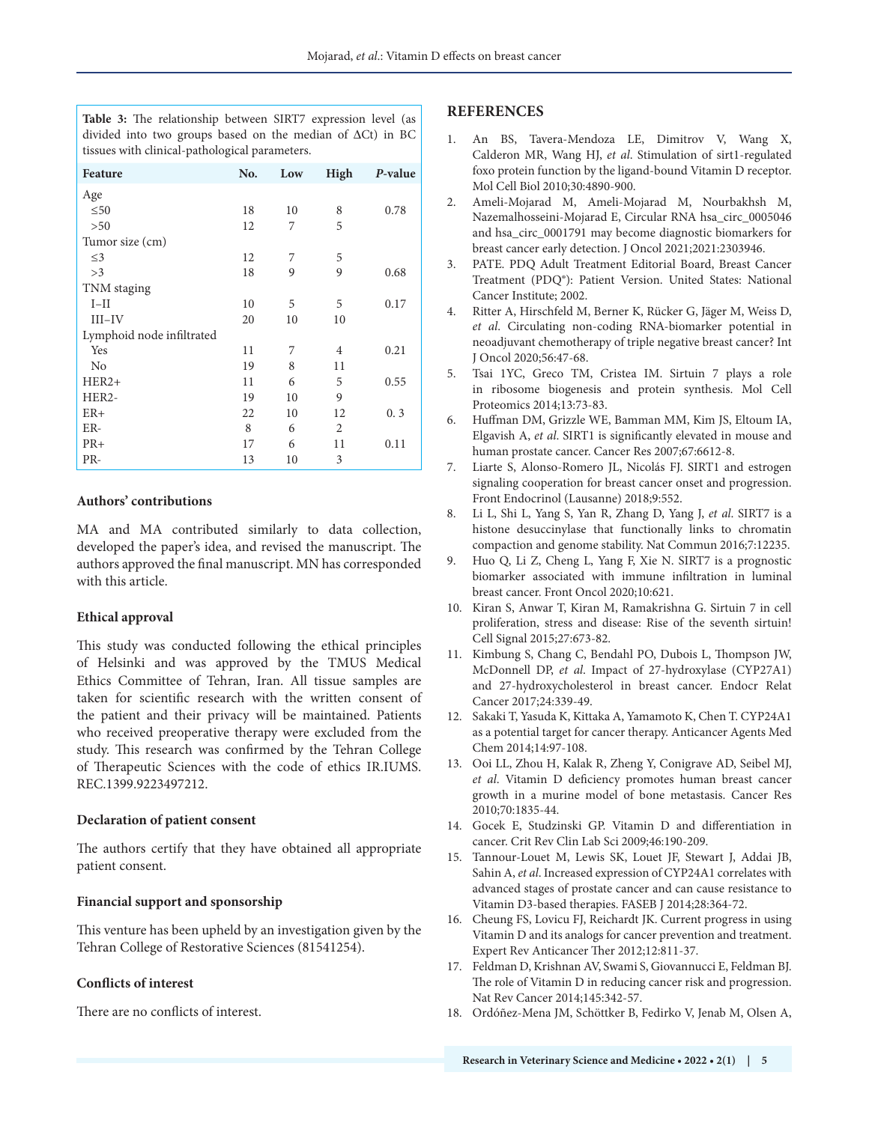**Table 3:** The relationship between SIRT7 expression level (as divided into two groups based on the median of ΔCt) in BC tissues with clinical-pathological parameters.

| Feature                   | No. | Low | High | P-value |
|---------------------------|-----|-----|------|---------|
| Age                       |     |     |      |         |
| $\leq 50$                 | 18  | 10  | 8    | 0.78    |
| >50                       | 12  | 7   | 5    |         |
| Tumor size (cm)           |     |     |      |         |
| $\leq$ 3                  | 12  | 7   | 5    |         |
| >3                        | 18  | 9   | 9    | 0.68    |
| TNM staging               |     |     |      |         |
| $I-II$                    | 10  | 5   | 5    | 0.17    |
| $III$ -IV                 | 20  | 10  | 10   |         |
| Lymphoid node infiltrated |     |     |      |         |
| Yes                       | 11  | 7   | 4    | 0.21    |
| N <sub>0</sub>            | 19  | 8   | 11   |         |
| $HER2+$                   | 11  | 6   | 5    | 0.55    |
| HER2-                     | 19  | 10  | 9    |         |
| $ER+$                     | 22  | 10  | 12   | 0.3     |
| ER-                       | 8   | 6   | 2    |         |
| $PR+$                     | 17  | 6   | 11   | 0.11    |
| PR-                       | 13  | 10  | 3    |         |

#### **Authors' contributions**

MA and MA contributed similarly to data collection, developed the paper's idea, and revised the manuscript. The authors approved the final manuscript. MN has corresponded with this article.

#### **Ethical approval**

This study was conducted following the ethical principles of Helsinki and was approved by the TMUS Medical Ethics Committee of Tehran, Iran. All tissue samples are taken for scientific research with the written consent of the patient and their privacy will be maintained. Patients who received preoperative therapy were excluded from the study. This research was confirmed by the Tehran College of Therapeutic Sciences with the code of ethics IR.IUMS. REC.1399.9223497212.

#### **Declaration of patient consent**

The authors certify that they have obtained all appropriate patient consent.

#### **Financial support and sponsorship**

This venture has been upheld by an investigation given by the Tehran College of Restorative Sciences (81541254).

#### **Conflicts of interest**

There are no conflicts of interest.

#### **REFERENCES**

- 1. An BS, Tavera-Mendoza LE, Dimitrov V, Wang X, Calderon MR, Wang HJ, *et al*. Stimulation of sirt1-regulated foxo protein function by the ligand-bound Vitamin D receptor. Mol Cell Biol 2010;30:4890-900.
- 2. Ameli-Mojarad M, Ameli-Mojarad M, Nourbakhsh M, Nazemalhosseini-Mojarad E, Circular RNA hsa\_circ\_0005046 and hsa\_circ\_0001791 may become diagnostic biomarkers for breast cancer early detection. J Oncol 2021;2021:2303946.
- 3. PATE. PDQ Adult Treatment Editorial Board, Breast Cancer Treatment (PDQ®): Patient Version. United States: National Cancer Institute; 2002.
- 4. Ritter A, Hirschfeld M, Berner K, Rücker G, Jäger M, Weiss D, *et al*. Circulating non-coding RNA-biomarker potential in neoadjuvant chemotherapy of triple negative breast cancer? Int J Oncol 2020;56:47-68.
- 5. Tsai 1YC, Greco TM, Cristea IM. Sirtuin 7 plays a role in ribosome biogenesis and protein synthesis. Mol Cell Proteomics 2014;13:73-83.
- 6. Huffman DM, Grizzle WE, Bamman MM, Kim JS, Eltoum IA, Elgavish A, *et al*. SIRT1 is significantly elevated in mouse and human prostate cancer. Cancer Res 2007;67:6612-8.
- 7. Liarte S, Alonso-Romero JL, Nicolás FJ. SIRT1 and estrogen signaling cooperation for breast cancer onset and progression. Front Endocrinol (Lausanne) 2018;9:552.
- 8. Li L, Shi L, Yang S, Yan R, Zhang D, Yang J, *et al*. SIRT7 is a histone desuccinylase that functionally links to chromatin compaction and genome stability. Nat Commun 2016;7:12235.
- 9. Huo Q, Li Z, Cheng L, Yang F, Xie N. SIRT7 is a prognostic biomarker associated with immune infiltration in luminal breast cancer. Front Oncol 2020;10:621.
- 10. Kiran S, Anwar T, Kiran M, Ramakrishna G. Sirtuin 7 in cell proliferation, stress and disease: Rise of the seventh sirtuin! Cell Signal 2015;27:673-82.
- 11. Kimbung S, Chang C, Bendahl PO, Dubois L, Thompson JW, McDonnell DP, *et al*. Impact of 27-hydroxylase (CYP27A1) and 27-hydroxycholesterol in breast cancer. Endocr Relat Cancer 2017;24:339-49.
- 12. Sakaki T, Yasuda K, Kittaka A, Yamamoto K, Chen T. CYP24A1 as a potential target for cancer therapy. Anticancer Agents Med Chem 2014;14:97-108.
- 13. Ooi LL, Zhou H, Kalak R, Zheng Y, Conigrave AD, Seibel MJ, *et al*. Vitamin D deficiency promotes human breast cancer growth in a murine model of bone metastasis. Cancer Res 2010;70:1835-44.
- 14. Gocek E, Studzinski GP. Vitamin D and differentiation in cancer. Crit Rev Clin Lab Sci 2009;46:190-209.
- 15. Tannour-Louet M, Lewis SK, Louet JF, Stewart J, Addai JB, Sahin A, *et al*. Increased expression of CYP24A1 correlates with advanced stages of prostate cancer and can cause resistance to Vitamin D3-based therapies. FASEB J 2014;28:364-72.
- 16. Cheung FS, Lovicu FJ, Reichardt JK. Current progress in using Vitamin D and its analogs for cancer prevention and treatment. Expert Rev Anticancer Ther 2012;12:811-37.
- 17. Feldman D, Krishnan AV, Swami S, Giovannucci E, Feldman BJ. The role of Vitamin D in reducing cancer risk and progression. Nat Rev Cancer 2014;145:342-57.
- 18. Ordóñez-Mena JM, Schöttker B, Fedirko V, Jenab M, Olsen A,